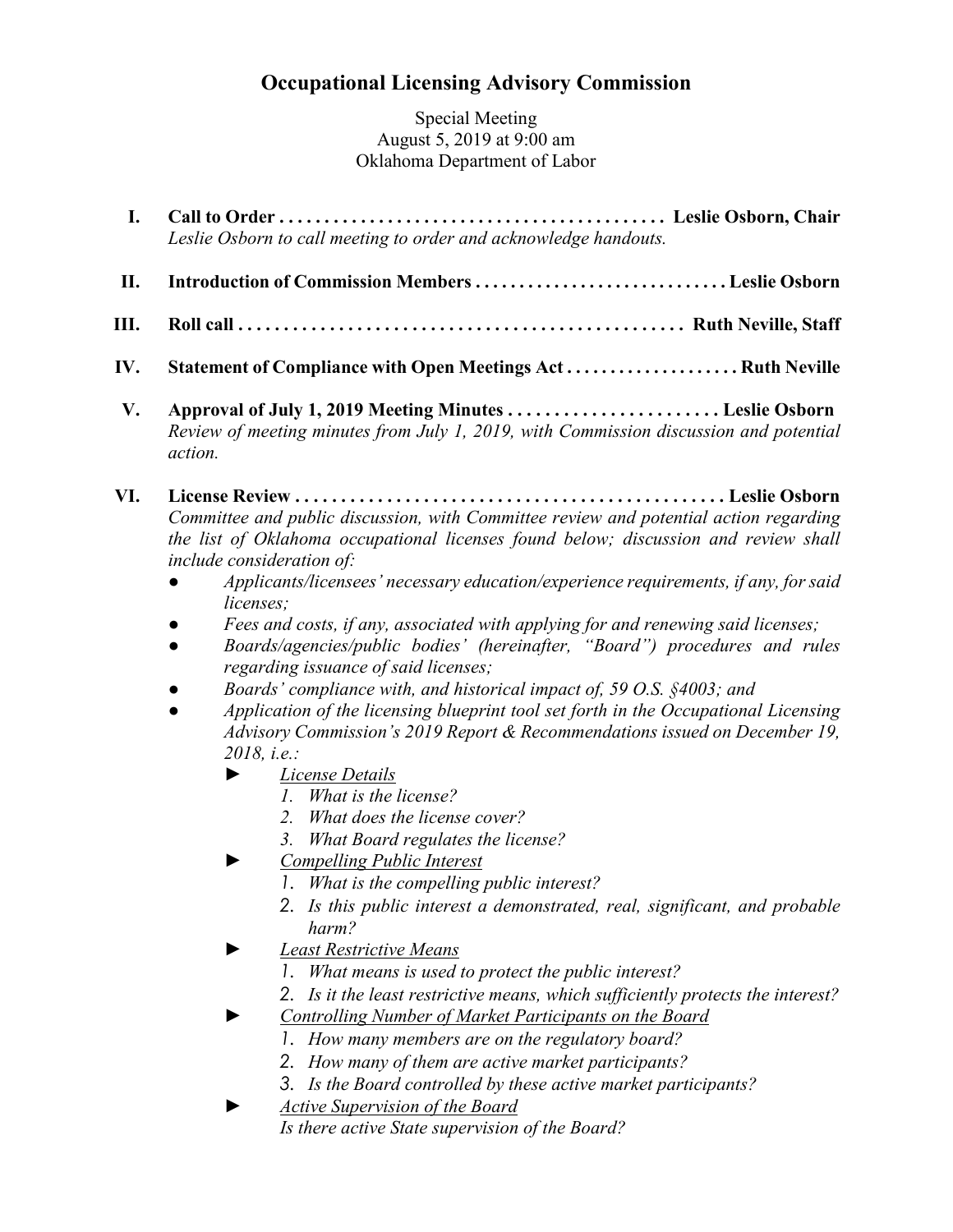# **Occupational Licensing Advisory Commission**

Special Meeting August 5, 2019 at 9:00 am Oklahoma Department of Labor

- **I. Call to Order . . . . . . . . . . . . . . . . . . . . . . . . . . . . . . . . . . . . . . . . . . . Leslie Osborn, Chair**  *Leslie Osborn to call meeting to order and acknowledge handouts.*
- **II. Introduction of Commission Members . . . . . . . . . . . . . . . . . . . . . . . . . . . . . Leslie Osborn**
- **III. Roll call . . . . . . . . . . . . . . . . . . . . . . . . . . . . . . . . . . . . . . . . . . . . . . . . . Ruth Neville, Staff**
- **IV. Statement of Compliance with Open Meetings Act . . . . . . . . . . . . . . . . . . . . Ruth Neville**
- **V. Approval of July 1, 2019 Meeting Minutes . . . . . . . . . . . . . . . . . . . . . . . Leslie Osborn** *Review of meeting minutes from July 1, 2019, with Commission discussion and potential action.*
- **VI. License Review . . . . . . . . . . . . . . . . . . . . . . . . . . . . . . . . . . . . . . . . . . . . . . . Leslie Osborn** *Committee and public discussion, with Committee review and potential action regarding the list of Oklahoma occupational licenses found below; discussion and review shall include consideration of:*
	- *● Applicants/licensees' necessary education/experience requirements, if any, for said licenses;*
	- *● Fees and costs, if any, associated with applying for and renewing said licenses;*
	- *● Boards/agencies/public bodies' (hereinafter, "Board") procedures and rules regarding issuance of said licenses;*
	- *● Boards' compliance with, and historical impact of, 59 O.S. §4003; and*
	- *● Application of the licensing blueprint tool set forth in the Occupational Licensing Advisory Commission's 2019 Report & Recommendations issued on December 19, 2018, i.e.:*
		- *► License Details*
			- *1. What is the license?*
			- *2. What does the license cover?*
			- *3. What Board regulates the license?*
		- *► Compelling Public Interest*
			- *1. What is the compelling public interest?*
			- *2. Is this public interest a demonstrated, real, significant, and probable harm?*
		- *► Least Restrictive Means*
			- *1. What means is used to protect the public interest?*
			- *2. Is it the least restrictive means, which sufficiently protects the interest?*
		- *► Controlling Number of Market Participants on the Board*
			- *1. How many members are on the regulatory board?*
			- *2. How many of them are active market participants?*
			- *3. Is the Board controlled by these active market participants?*
		- *► Active Supervision of the Board Is there active State supervision of the Board?*